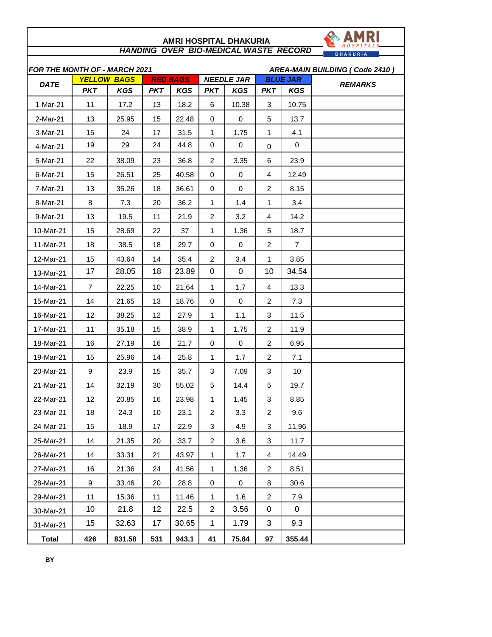| <b>HANDING OVER BIO-MEDICAL WASTE RECORD</b><br><b>DHAKURIA</b>                                    |                |            |            |            |                |             |                |                               |                                |  |
|----------------------------------------------------------------------------------------------------|----------------|------------|------------|------------|----------------|-------------|----------------|-------------------------------|--------------------------------|--|
| <b>FOR THE MONTH OF - MARCH 2021</b><br><b>NEEDLE JAR</b><br><b>YELLOW BAGS</b><br><b>RED BAGS</b> |                |            |            |            |                |             |                |                               | AREA-MAIN BUILDING (Code 2410) |  |
| <b>DATE</b>                                                                                        | <b>PKT</b>     | <b>KGS</b> | <b>PKT</b> | <b>KGS</b> | <b>PKT</b>     | <b>KGS</b>  | <b>PKT</b>     | <b>BLUE JAR</b><br><b>KGS</b> | <b>REMARKS</b>                 |  |
| 1-Mar-21                                                                                           | 11             | 17.2       | 13         | 18.2       | 6              | 10.38       | 3              | 10.75                         |                                |  |
| 2-Mar-21                                                                                           | 13             | 25.95      | 15         | 22.48      | 0              | 0           | 5              | 13.7                          |                                |  |
| 3-Mar-21                                                                                           | 15             | 24         | 17         | 31.5       | $\mathbf{1}$   | 1.75        | $\mathbf{1}$   | 4.1                           |                                |  |
| 4-Mar-21                                                                                           | 19             | 29         | 24         | 44.8       | 0              | 0           | $\mathbf 0$    | $\mathbf 0$                   |                                |  |
| 5-Mar-21                                                                                           | 22             | 38.09      | 23         | 36.8       | 2              | 3.35        | 6              | 23.9                          |                                |  |
| 6-Mar-21                                                                                           | 15             | 26.51      | 25         | 40.58      | 0              | $\mathbf 0$ | 4              | 12.49                         |                                |  |
| 7-Mar-21                                                                                           | 13             | 35.26      | 18         | 36.61      | 0              | $\mathbf 0$ | $\overline{2}$ | 8.15                          |                                |  |
| 8-Mar-21                                                                                           | 8              | 7.3        | 20         | 36.2       | 1              | 1.4         | 1              | 3.4                           |                                |  |
| 9-Mar-21                                                                                           | 13             | 19.5       | 11         | 21.9       | $\overline{2}$ | 3.2         | 4              | 14.2                          |                                |  |
| 10-Mar-21                                                                                          | 15             | 28.69      | 22         | 37         | 1              | 1.36        | 5              | 18.7                          |                                |  |
| 11-Mar-21                                                                                          | 18             | 38.5       | 18         | 29.7       | 0              | 0           | $\overline{2}$ | $\overline{7}$                |                                |  |
| 12-Mar-21                                                                                          | 15             | 43.64      | 14         | 35.4       | 2              | 3.4         | 1              | 3.85                          |                                |  |
| 13-Mar-21                                                                                          | 17             | 28.05      | 18         | 23.89      | $\mathbf 0$    | 0           | 10             | 34.54                         |                                |  |
| 14-Mar-21                                                                                          | $\overline{7}$ | 22.25      | 10         | 21.64      | 1              | 1.7         | 4              | 13.3                          |                                |  |
| 15-Mar-21                                                                                          | 14             | 21.65      | 13         | 18.76      | 0              | $\mathbf 0$ | $\overline{a}$ | 7.3                           |                                |  |
| 16-Mar-21                                                                                          | 12             | 38.25      | 12         | 27.9       | $\mathbf{1}$   | 1.1         | 3              | 11.5                          |                                |  |
| 17-Mar-21                                                                                          | 11             | 35.18      | 15         | 38.9       | $\mathbf{1}$   | 1.75        | $\overline{2}$ | 11.9                          |                                |  |
| 18-Mar-21                                                                                          | 16             | 27.19      | 16         | 21.7       | 0              | 0           | $\overline{2}$ | 6.95                          |                                |  |
| 19-Mar-21                                                                                          | 15             | 25.96      | 14         | 25.8       | $\mathbf{1}$   | 1.7         | 2              | 7.1                           |                                |  |
| 20-Mar-21                                                                                          | 9              | 23.9       | 15         | 35.7       | 3              | 7.09        | 3              | 10                            |                                |  |
| 21-Mar-21                                                                                          | 14             | 32.19      | 30         | 55.02      | 5              | 14.4        | 5              | 19.7                          |                                |  |
| 22-Mar-21                                                                                          | 12             | 20.85      | 16         | 23.98      | 1              | 1.45        | 3              | 8.85                          |                                |  |
| 23-Mar-21                                                                                          | 18             | 24.3       | 10         | 23.1       | $\overline{2}$ | 3.3         | $\overline{a}$ | 9.6                           |                                |  |
| 24-Mar-21                                                                                          | 15             | 18.9       | 17         | 22.9       | 3              | 4.9         | 3              | 11.96                         |                                |  |
| 25-Mar-21                                                                                          | 14             | 21.35      | 20         | 33.7       | $\overline{2}$ | 3.6         | $\sqrt{3}$     | 11.7                          |                                |  |
| 26-Mar-21                                                                                          | 14             | 33.31      | 21         | 43.97      | 1              | 1.7         | 4              | 14.49                         |                                |  |
| 27-Mar-21                                                                                          | 16             | 21.36      | 24         | 41.56      | $\mathbf{1}$   | 1.36        | $\overline{2}$ | 8.51                          |                                |  |
| 28-Mar-21                                                                                          | 9              | 33.46      | 20         | 28.8       | 0              | $\mathbf 0$ | 8              | 30.6                          |                                |  |
| 29-Mar-21                                                                                          | 11             | 15.36      | 11         | 11.46      | $\mathbf{1}$   | 1.6         | $\overline{2}$ | 7.9                           |                                |  |
| 30-Mar-21                                                                                          | 10             | 21.8       | 12         | 22.5       | $\overline{2}$ | 3.56        | $\mathbf 0$    | 0                             |                                |  |
| 31-Mar-21                                                                                          | 15             | 32.63      | 17         | 30.65      | $\mathbf 1$    | 1.79        | 3              | 9.3                           |                                |  |
| <b>Total</b>                                                                                       | 426            | 831.58     | 531        | 943.1      | 41             | 75.84       | 97             | 355.44                        |                                |  |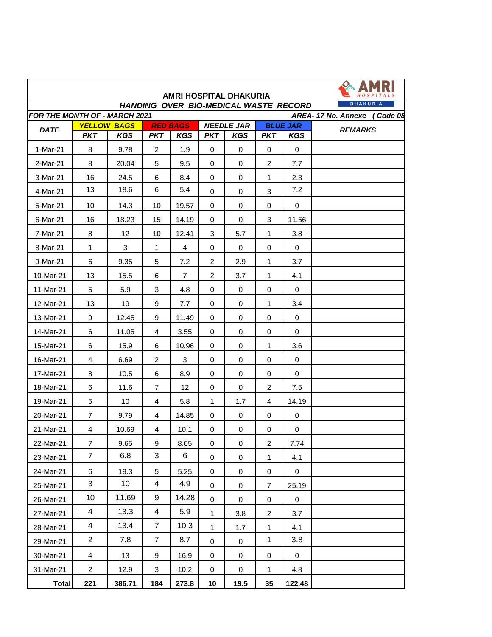|                                                                                    |                               |                                  |                  |                               |                | <b>AMRI HOSPITAL DHAKURIA</b>   |                |                               |                |  |  |
|------------------------------------------------------------------------------------|-------------------------------|----------------------------------|------------------|-------------------------------|----------------|---------------------------------|----------------|-------------------------------|----------------|--|--|
| DHAKURIA<br>HANDING OVER BIO-MEDICAL WASTE RECORD<br>FOR THE MONTH OF - MARCH 2021 |                               |                                  |                  |                               |                |                                 |                |                               |                |  |  |
|                                                                                    | AREA-17 No. Annexe<br>Code 08 |                                  |                  |                               |                |                                 |                |                               |                |  |  |
| <b>DATE</b>                                                                        | <b>PKT</b>                    | <b>YELLOW BAGS</b><br><b>KGS</b> | <b>PKT</b>       | <b>RED BAGS</b><br><b>KGS</b> | <b>PKT</b>     | <b>NEEDLE JAR</b><br><b>KGS</b> | <b>PKT</b>     | <b>BLUE JAR</b><br><b>KGS</b> | <b>REMARKS</b> |  |  |
| 1-Mar-21                                                                           | 8                             | 9.78                             | $\overline{c}$   | 1.9                           | $\mathbf 0$    | $\mathbf 0$                     | $\mathbf 0$    | $\mathbf 0$                   |                |  |  |
| 2-Mar-21                                                                           | 8                             | 20.04                            | 5                | 9.5                           | $\Omega$       | $\Omega$                        | $\overline{2}$ | 7.7                           |                |  |  |
| 3-Mar-21                                                                           | 16                            | 24.5                             | 6                | 8.4                           | $\Omega$       | $\mathbf 0$                     | 1              | 2.3                           |                |  |  |
| 4-Mar-21                                                                           | 13                            | 18.6                             | 6                | 5.4                           | $\Omega$       | $\Omega$                        | 3              | 7.2                           |                |  |  |
| 5-Mar-21                                                                           | 10                            | 14.3                             | 10               | 19.57                         | 0              | $\mathbf 0$                     | $\Omega$       | $\mathbf 0$                   |                |  |  |
| 6-Mar-21                                                                           | 16                            | 18.23                            | 15               | 14.19                         | 0              | $\mathbf 0$                     | 3              | 11.56                         |                |  |  |
| 7-Mar-21                                                                           | 8                             | 12                               | 10               | 12.41                         | 3              | 5.7                             | 1              | 3.8                           |                |  |  |
| 8-Mar-21                                                                           | $\mathbf{1}$                  | 3                                | 1                | 4                             | 0              | 0                               | 0              | 0                             |                |  |  |
| 9-Mar-21                                                                           | 6                             | 9.35                             | 5                | 7.2                           | 2              | 2.9                             | 1              | 3.7                           |                |  |  |
| 10-Mar-21                                                                          | 13                            | 15.5                             | 6                | $\overline{7}$                | $\overline{2}$ | 3.7                             | 1              | 4.1                           |                |  |  |
| 11-Mar-21                                                                          | 5                             | 5.9                              | 3                | 4.8                           | $\Omega$       | $\mathbf 0$                     | $\mathbf 0$    | $\mathbf 0$                   |                |  |  |
| 12-Mar-21                                                                          | 13                            | 19                               | 9                | 7.7                           | 0              | $\mathbf 0$                     | 1              | 3.4                           |                |  |  |
| 13-Mar-21                                                                          | 9                             | 12.45                            | 9                | 11.49                         | $\Omega$       | $\Omega$                        | $\Omega$       | $\mathbf 0$                   |                |  |  |
| 14-Mar-21                                                                          | 6                             | 11.05                            | $\overline{4}$   | 3.55                          | 0              | $\Omega$                        | $\Omega$       | $\Omega$                      |                |  |  |
| 15-Mar-21                                                                          | 6                             | 15.9                             | 6                | 10.96                         | 0              | $\mathbf 0$                     | 1              | 3.6                           |                |  |  |
| 16-Mar-21                                                                          | $\overline{4}$                | 6.69                             | 2                | 3                             | 0              | $\mathbf 0$                     | 0              | $\mathbf 0$                   |                |  |  |
| 17-Mar-21                                                                          | 8                             | 10.5                             | 6                | 8.9                           | $\mathbf 0$    | $\mathbf 0$                     | 0              | $\mathbf 0$                   |                |  |  |
| 18-Mar-21                                                                          | 6                             | 11.6                             | $\overline{7}$   | 12                            | 0              | $\mathbf 0$                     | $\overline{c}$ | 7.5                           |                |  |  |
| 19-Mar-21                                                                          | 5                             | 10                               | 4                | 5.8                           | 1              | 1.7                             | 4              | 14.19                         |                |  |  |
| 20-Mar-21                                                                          | $\overline{7}$                | 9.79                             | 4                | 14.85                         | 0              | 0                               | 0              | 0                             |                |  |  |
| 21-Mar-21                                                                          | 4                             | 10.69                            | 4                | 10.1                          | 0              | 0                               | 0              | 0                             |                |  |  |
| 22-Mar-21                                                                          | $\overline{7}$                | 9.65                             | $\boldsymbol{9}$ | 8.65                          | $\pmb{0}$      | $\pmb{0}$                       | $\overline{a}$ | 7.74                          |                |  |  |
| 23-Mar-21                                                                          | $\overline{7}$                | 6.8                              | 3                | 6                             | $\mathbf 0$    | $\pmb{0}$                       | 1              | 4.1                           |                |  |  |
| 24-Mar-21                                                                          | 6                             | 19.3                             | $5\phantom{.0}$  | 5.25                          | 0              | 0                               | 0              | $\mathbf 0$                   |                |  |  |
| 25-Mar-21                                                                          | 3                             | 10 <sup>°</sup>                  | 4                | 4.9                           | 0              | 0                               | $\overline{7}$ | 25.19                         |                |  |  |
| 26-Mar-21                                                                          | 10                            | 11.69                            | 9                | 14.28                         | 0              | $\pmb{0}$                       | 0              | $\mathbf 0$                   |                |  |  |
| 27-Mar-21                                                                          | 4                             | 13.3                             | 4                | 5.9                           | 1              | 3.8                             | $\overline{2}$ | 3.7                           |                |  |  |
| 28-Mar-21                                                                          | 4                             | 13.4                             | $\overline{7}$   | 10.3                          | 1              | 1.7                             | 1              | 4.1                           |                |  |  |
| 29-Mar-21                                                                          | $\overline{a}$                | 7.8                              | $\overline{7}$   | 8.7                           | $\pmb{0}$      | 0                               | $\mathbf{1}$   | 3.8                           |                |  |  |
| 30-Mar-21                                                                          | $\overline{4}$                | 13                               | 9                | 16.9                          | 0              | 0                               | 0              | 0                             |                |  |  |
| 31-Mar-21                                                                          | $\overline{a}$                | 12.9                             | $\sqrt{3}$       | 10.2                          | 0              | $\pmb{0}$                       | 1              | 4.8                           |                |  |  |
| <b>Total</b>                                                                       | 221                           | 386.71                           | 184              | 273.8                         | 10             | 19.5                            | 35             | 122.48                        |                |  |  |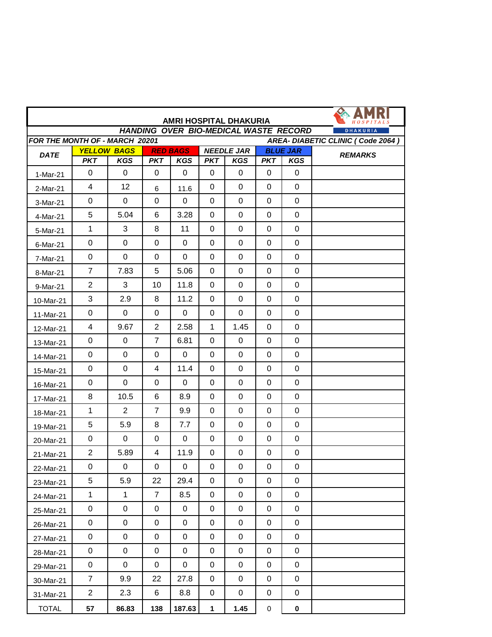| <b>AMRI HOSPITAL DHAKURIA</b><br><b>HANDING OVER BIO-MEDICAL WASTE RECORD</b><br><b>DHAKURIA</b> |                |                                  |                |                               |                  |                                 |             |                               |                |  |
|--------------------------------------------------------------------------------------------------|----------------|----------------------------------|----------------|-------------------------------|------------------|---------------------------------|-------------|-------------------------------|----------------|--|
| FOR THE MONTH OF - MARCH 20201<br>AREA- DIABETIC CLINIC (Code 2064)                              |                |                                  |                |                               |                  |                                 |             |                               |                |  |
| <b>DATE</b>                                                                                      | <b>PKT</b>     | <b>YELLOW BAGS</b><br><b>KGS</b> | <b>PKT</b>     | <b>RED BAGS</b><br><b>KGS</b> | <b>PKT</b>       | <b>NEEDLE JAR</b><br><b>KGS</b> | <b>PKT</b>  | <b>BLUE JAR</b><br><b>KGS</b> | <b>REMARKS</b> |  |
| 1-Mar-21                                                                                         | 0              | 0                                | 0              | $\mathbf 0$                   | 0                | 0                               | 0           | $\mathbf 0$                   |                |  |
| 2-Mar-21                                                                                         | $\overline{4}$ | 12                               | 6              | 11.6                          | 0                | 0                               | 0           | $\mathbf 0$                   |                |  |
| 3-Mar-21                                                                                         | 0              | 0                                | 0              | 0                             | 0                | 0                               | 0           | 0                             |                |  |
| 4-Mar-21                                                                                         | 5              | 5.04                             | 6              | 3.28                          | $\mathbf 0$      | 0                               | $\mathbf 0$ | $\mathbf 0$                   |                |  |
| 5-Mar-21                                                                                         | 1              | 3                                | 8              | 11                            | 0                | 0                               | 0           | 0                             |                |  |
| 6-Mar-21                                                                                         | 0              | $\mathbf 0$                      | $\mathbf 0$    | $\mathbf 0$                   | $\Omega$         | 0                               | $\mathbf 0$ | $\mathbf 0$                   |                |  |
| 7-Mar-21                                                                                         | 0              | $\mathbf 0$                      | $\mathbf 0$    | $\mathbf 0$                   | $\mathbf 0$      | 0                               | 0           | $\mathbf 0$                   |                |  |
| 8-Mar-21                                                                                         | $\overline{7}$ | 7.83                             | 5              | 5.06                          | 0                | 0                               | 0           | $\mathbf 0$                   |                |  |
| 9-Mar-21                                                                                         | $\overline{2}$ | 3                                | 10             | 11.8                          | $\mathbf 0$      | $\mathbf 0$                     | $\mathbf 0$ | $\mathbf 0$                   |                |  |
| 10-Mar-21                                                                                        | 3              | 2.9                              | 8              | 11.2                          | 0                | 0                               | 0           | $\mathbf 0$                   |                |  |
| 11-Mar-21                                                                                        | 0              | 0                                | $\mathbf 0$    | $\mathbf 0$                   | 0                | 0                               | 0           | $\mathbf 0$                   |                |  |
| 12-Mar-21                                                                                        | 4              | 9.67                             | 2              | 2.58                          | $\mathbf 1$      | 1.45                            | 0           | 0                             |                |  |
| 13-Mar-21                                                                                        | $\mathbf 0$    | 0                                | $\overline{7}$ | 6.81                          | $\mathbf 0$      | 0                               | 0           | 0                             |                |  |
| 14-Mar-21                                                                                        | 0              | $\mathbf 0$                      | $\mathbf 0$    | $\mathbf 0$                   | $\mathbf 0$      | 0                               | $\mathbf 0$ | $\mathbf 0$                   |                |  |
| 15-Mar-21                                                                                        | 0              | $\mathbf 0$                      | 4              | 11.4                          | 0                | 0                               | 0           | $\mathbf 0$                   |                |  |
| 16-Mar-21                                                                                        | 0              | $\mathbf 0$                      | $\mathbf 0$    | $\mathbf 0$                   | $\Omega$         | 0                               | 0           | $\mathbf 0$                   |                |  |
| 17-Mar-21                                                                                        | 8              | 10.5                             | 6              | 8.9                           | $\mathbf 0$      | 0                               | 0           | $\mathbf 0$                   |                |  |
| 18-Mar-21                                                                                        | $\mathbf{1}$   | $\overline{2}$                   | $\overline{7}$ | 9.9                           | 0                | 0                               | 0           | $\mathbf 0$                   |                |  |
| 19-Mar-21                                                                                        | 5              | 5.9                              | 8              | 7.7                           | $\mathbf 0$      | $\mathbf 0$                     | $\mathbf 0$ | $\mathbf 0$                   |                |  |
| 20-Mar-21                                                                                        | $\pmb{0}$      | $\mathbf 0$                      | $\mathbf 0$    | $\mathbf 0$                   | 0                | 0                               | 0           | $\mathbf 0$                   |                |  |
| 21-Mar-21                                                                                        | $\overline{2}$ | 5.89                             | 4              | 11.9                          | $\mathbf 0$      | 0                               | 0           | $\pmb{0}$                     |                |  |
| 22-Mar-21                                                                                        | 0              | 0                                | 0              | 0                             | 0                | 0                               | 0           | $\mathbf 0$                   |                |  |
| 23-Mar-21                                                                                        | $\overline{5}$ | 5.9                              | 22             | 29.4                          | $\mathbf 0$      | 0                               | 0           | 0                             |                |  |
| 24-Mar-21                                                                                        | $\mathbf{1}$   | $\mathbf{1}$                     | $\overline{7}$ | 8.5                           | 0                | 0                               | 0           | $\mathbf 0$                   |                |  |
| 25-Mar-21                                                                                        | $\pmb{0}$      | 0                                | $\pmb{0}$      | $\mathbf 0$                   | $\mathbf 0$      | 0                               | 0           | $\mathbf 0$                   |                |  |
| 26-Mar-21                                                                                        | 0              | $\boldsymbol{0}$                 | $\pmb{0}$      | $\mathbf 0$                   | $\mathbf 0$      | 0                               | 0           | $\mathbf 0$                   |                |  |
| 27-Mar-21                                                                                        | $\pmb{0}$      | 0                                | 0              | $\pmb{0}$                     | $\mathbf 0$      | 0                               | 0           | $\mathbf 0$                   |                |  |
| 28-Mar-21                                                                                        | $\pmb{0}$      | $\pmb{0}$                        | $\pmb{0}$      | $\pmb{0}$                     | $\boldsymbol{0}$ | 0                               | 0           | $\mathbf 0$                   |                |  |
| 29-Mar-21                                                                                        | $\pmb{0}$      | $\boldsymbol{0}$                 | 0              | $\pmb{0}$                     | $\mathbf 0$      | 0                               | 0           | $\pmb{0}$                     |                |  |
| 30-Mar-21                                                                                        | $\overline{7}$ | 9.9                              | 22             | 27.8                          | 0                | 0                               | 0           | $\mathbf 0$                   |                |  |
| 31-Mar-21                                                                                        | $\overline{2}$ | 2.3                              | 6              | 8.8                           | 0                | 0                               | 0           | $\mathbf 0$                   |                |  |
| <b>TOTAL</b>                                                                                     | 57             | 86.83                            | 138            | 187.63                        | $\mathbf{1}$     | 1.45                            | $\pmb{0}$   | $\mathbf 0$                   |                |  |